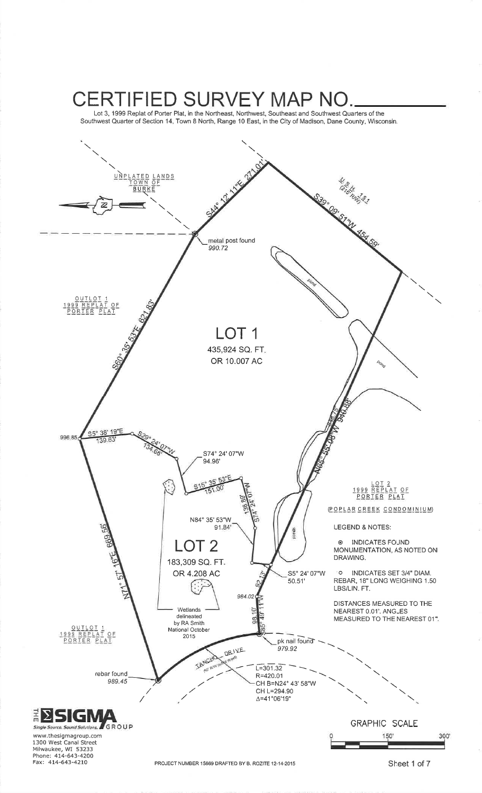Lot 3, 1999 Replat of Porter Plat, in the Northeast, Northwest, Southeast and Southwest Quarters of the Southwest Quarter of Section 14, Town 8 North, Range 10 East, in the City of Madison, Dane County, Wisconsin.



PROJECT NUMBER 15669 DRAFTED BY B. ROZITE 12-14-2015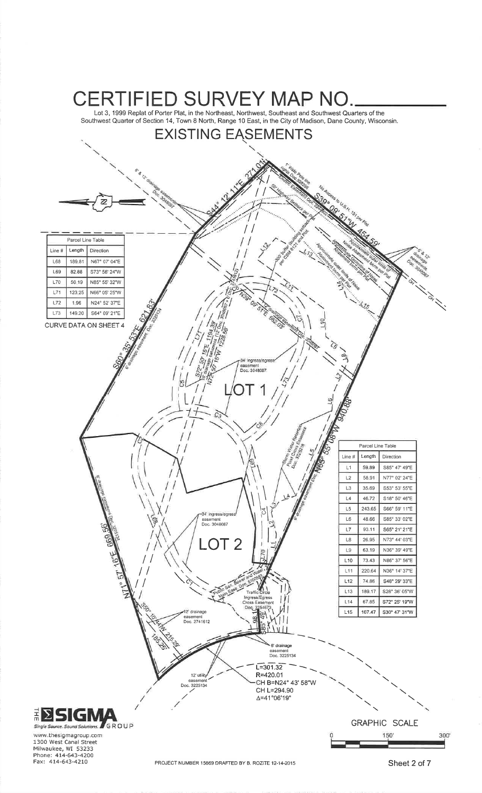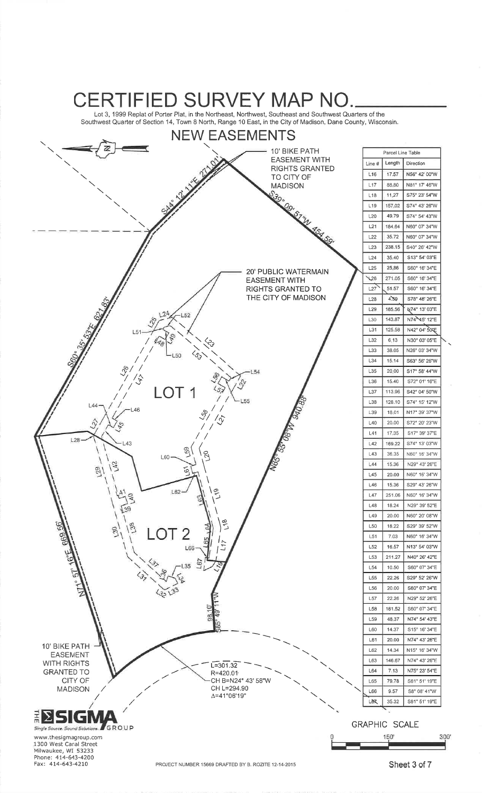Lot 3, 1999 Replat of Porter Plat, in the Northeast, Northwest, Southeast and Southwest Quarters of theSouthwest Quarter of Section 14, Town 8 North, Range 10 East, in the City of Madison, Dane County, Wisconsin

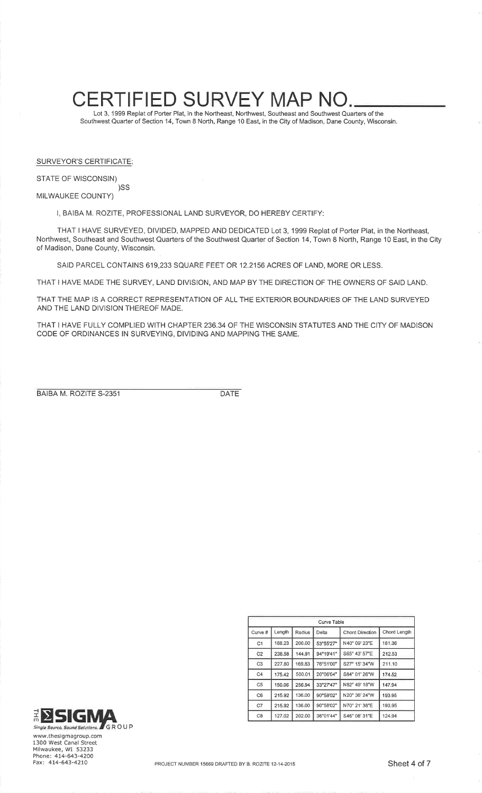Lot 3, 1999 Replat of Porter Plat, in the Northeast, Northwest, Southeast and Southwest Quarters of theSouthwest Quarter of Section 14, Town 8 North, Range 10 East, in the City of Madison, Dane County, Wisconsin

SURVEYOR'S CERTIFICATE:

#### STATE OF WISCONSIN)

)SSMILWAUKEE COUNTY)

I, BAIBA M. ROZITE, PROFESSIONAL LAND SURVEYOR, DO HEREBY CERTIFY:

THAT I HAVE SURVEYED, DIVIDED, MAPPED AND DEDICATED Lot 3, 1999 Replat of Porter Plat, in the Northeast, Northwest, Southeast and Southwest Quarters of the Southwest Quarter of Section 14, Town 8 North, Range 10 East, in the Cityof Madison, Dane County, Wisconsin.

SAID PARCEL CONTAINS 619,233 SQUARE FEET OR 12.2156 ACRES OF LAND, MORE OR LESS.

THAT I HAVE MADE THE SURVEY, LAND DIVISION, AND MAP BY THE DIRECTION OF THE OWNERS OF SAID LAND.

THAT THE MAP IS A CORRECT REPRESENTATION OF ALL THE EXTERIOR BOUNDARIES OF THE LAND SURVEYEDAND THE LAND DIVISION THEREOF MADE.

THAT I HAVE FULLY COMPLIED WITH CHAPTER 236.34 OF THE WISCONSIN STATUTES AND THE CITY OF MADISONCODE OF ORDINANCES IN SURVEYING, DIVIDING AND MAPPING THE SAME.

BAIBA M. ROZITE 5-2351

 $\mathsf{DATE}$ 

| Curve Table    |        |        |           |                 |              |
|----------------|--------|--------|-----------|-----------------|--------------|
| Curve #        | Length | Radius | Delta     | Chord Direction | Chord Length |
| C <sub>1</sub> | 188.23 | 200.00 | 53°55'27" | N40° 09' 23"E   | 181.36       |
| C <sub>2</sub> | 238.58 | 144.91 | 94°19'41" | S65° 43' 57"E   | 212.53       |
| C <sub>3</sub> | 227.80 | 169.83 | 76°51'00" | S27° 15' 34"W   | 211.10       |
| C4             | 175.42 | 500.01 | 20°06'04" | S84° 01' 26"W   | 174.52       |
| C <sub>5</sub> | 150.06 | 256.94 | 33°27'47" | N82° 49' 18"W   | 147.94       |
| C6             | 215.92 | 136.00 | 90°58'02" | N20° 36' 24"W   | 193.95       |
| C7             | 215.92 | 136.00 | 90°58'02" | N70° 21' 38"E   | 193.95       |
| C <sub>8</sub> | 127.02 | 202.00 | 36°01'44" | S46° 08' 31"E   | 124.94       |



www,thesigmagroup.com 1300 West Canal StreetMilwaukee, WI 53233<br>Phone: 414-643-4200<br><sup>F</sup>ax: 414-643-4210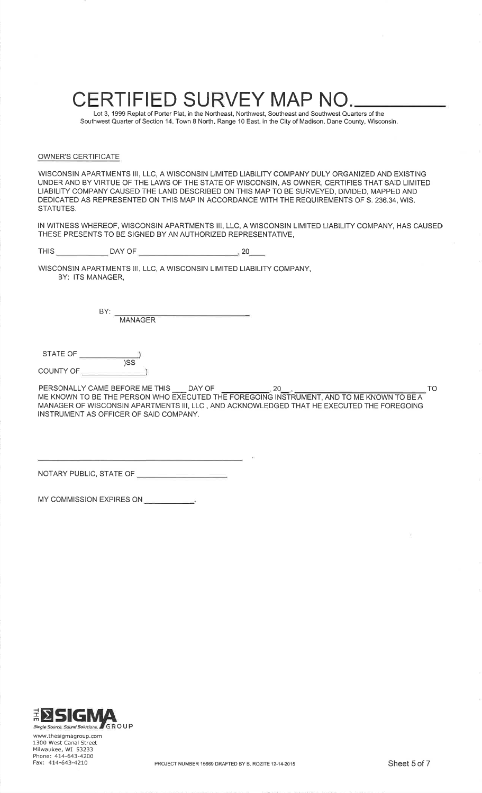Lot 3, 1999 Replat of Porter Plat, in the Northeast, Northwest, Southeast and Southwest Quarters of the Southwest Quarter of Section 14, Iown 8 North, Range 10 East, ¡n the City of Madison, Dane County, Wisconsin.

#### OWNER'S CERTIFICATE

WISCONSIN APARTMENTS III, LLC, A WISCONSIN LIMITED LIABILITY COMPANY DULY ORGANIZED AND EXISTING UNDER AND BY VIRTUE OF THE LAWS OF THE STATE OF WISCONSIN, AS OWNER, CERTIFIES THAT SAID LIMITEDLIABILITY COMPANY CAUSED THE LAND DESCRIBED ON THIS MAP TO BE SURVEYED, DIVIDED, MAPPED AND DEDICATED AS REPRESENTED ON THIS MAP IN ACCORDANCE WITH THE REQUIREMENTS OF S.236.34, WIS.STATUTES.

IN WITNESS WHEREOF, WISCONSIN APARTMENTS III, LLC, A WISCONSIN LIMITED LIABILIry COMPANY, HAS CAUSEDTHESE PRESENTS TO BE SIGNED BY AN AUTHORIZED REPRESENTATIVE,

THIS DAY OF<sup>20</sup>

WISCONSIN APARTMENTS III, LLC, A WISCONSIN LIMITED LIABILITY COMPANY,BY: ITS MANAGER,

> MANAGER BY:

STATE OF $\overline{\text{)SS}}$ COUNTY OF

PERSONALLY CAME BEFORE ME THIS DAY OF 20- , ME KNOWN TO BE THE PERSON WHO EXECUTED THE FOREGOING INSTRUMENT, AND TO ME KNOWN TO BE A MANAGER OF WISCONSIN APARTMENTS III, LLC , AND ACKNOWLEDGED THAT HE EXECUTED THE FOREGOINGINSTRUMENT AS OFFICER OF SAID COMPANY.

NOTARY PUBLIC, STATE OF

MY COMMISSION EXPIRES ON



www.thesigmagroup.com 1300 West Canal Street Milwaukee, WI 53233<sup>2</sup>hone: 414-643-4200<br><sup>F</sup>ax: 414-643-4210

TO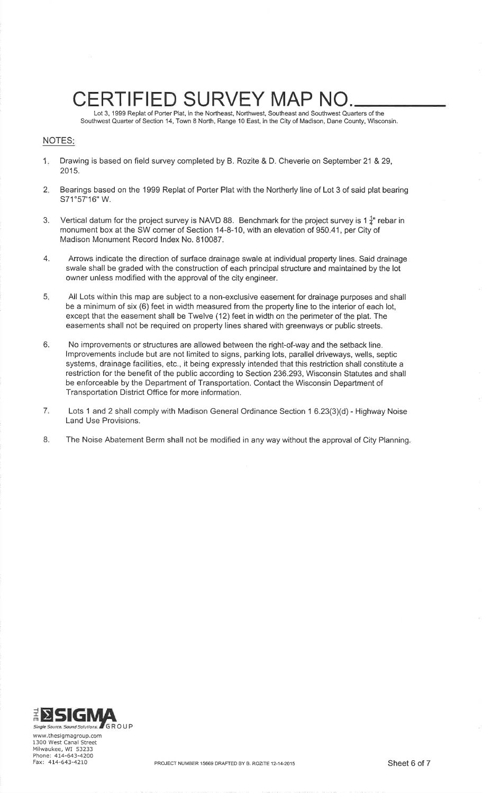Lot 3, 1999 Replat of Porter Plat, in the Northeast, Northwest, Southeast and Southwest Quarters of theSouthwest Quarter of Section 14, Town 8 North, Range 10 East, in the City of Madison, Dane County, Wisconsin

### NOTES

- 1Drawing is based on field survey completed by B. Rozite & D. Cheverie on September 21 & 29, 2015.
- 2 Bearings based on the 1999 Replat of Porter Plat with the Northerly line of Lot 3 of said plat bearingS71°57'16" W.
- 3. Vertical datum for the project survey is NAVD 88. Benchmark for the project survey is 1 $\frac{1}{4}$ " rebar in monument box at the SW corner of Section 14-8-10, with an elevation of 950.41, per City ofMadison Monument Record lndex No. 810087.
- Arrows indicate the direction of surface drainage swale at individual property lines. Said drainage swale shall be graded with the construction of each principal structure and maintained by the lotowner unless modified with the approval of the city engineer.4.
- All Lots within this map are subject to a non-exclusive easement for drainage purposes and shallbe a minimum of six (6) feet in width measured from the property line to the interior of each lot,except that the easement shall be Twelve (12) feet in width on the perimeter of the plat. The easements shall not be required on property lines shared with greenways or public streets.5
- No improvements or structures are allowed between the right-of-way and the setback line. lmprovements include but are not limited to signs, parking lots, parallel driveways, wells, septic systems, drainage facilities, etc., it being expressly intended that this restriction shall constitute a restriction for the benefit of the public according to Section 236.293, Wisconsin Statutes and shallbe enforceable by the Department of Transportation. Contact the Wisconsin Department ofTransportation District Office for more information.6.
- 7Lots 1 and 2 shall comply with Madison General Ordinance Section 1 6.23(3)(d) - Highway Noise Land Use Provisions.
- B. The Noise Abatement Berm shall not be modified in any way without the approval of City Planning



www,thesigmagroup.com 1300 West Canal Street Milwaukee, WI 53233<sup>p</sup>hone: 414-643-4200<br><sup>F</sup>ax: 414-643-4210